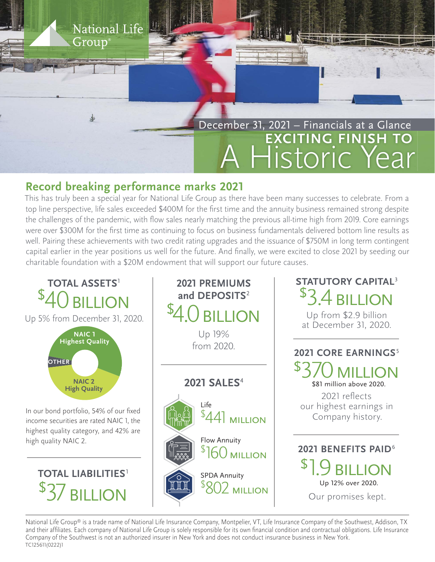

## **Record breaking performance marks 2021**

National Life

Group

This has truly been a special year for National Life Group as there have been many successes to celebrate. From a top line perspective, life sales exceeded \$400M for the first time and the annuity business remained strong despite the challenges of the pandemic, with flow sales nearly matching the previous all-time high from 2019. Core earnings were over \$300M for the first time as continuing to focus on business fundamentals delivered bottom line results as well. Pairing these achievements with two credit rating upgrades and the issuance of \$750M in long term contingent capital earlier in the year positions us well for the future. And finally, we were excited to close 2021 by seeding our charitable foundation with a \$20M endowment that will support our future causes.



National Life Group® is a trade name of National Life Insurance Company, Montpelier, VT, Life Insurance Company of the Southwest, Addison, TX and their affiliates. Each company of National Life Group is solely responsible for its own financial condition and contractual obligations. Life Insurance Company of the Southwest is not an authorized insurer in New York and does not conduct insurance business in New York. TC125611(0222)1